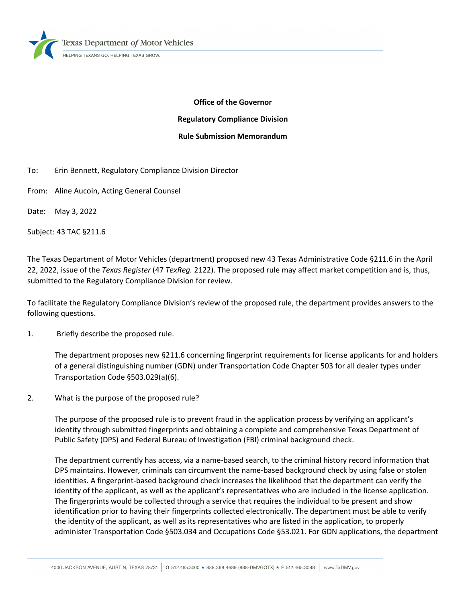lexas Department of Motor Vehicles

HELPING TEXANS GO. HELPING TEXAS GROW

# **Office of the Governor Regulatory Compliance Division Rule Submission Memorandum**

- To: Erin Bennett, Regulatory Compliance Division Director
- From: Aline Aucoin, Acting General Counsel
- Date: May 3, 2022

Subject: 43 TAC §211.6

The Texas Department of Motor Vehicles (department) proposed new 43 Texas Administrative Code §211.6 in the April 22, 2022, issue of the *Texas Register* (47 *TexReg.* 2122). The proposed rule may affect market competition and is, thus, submitted to the Regulatory Compliance Division for review.

To facilitate the Regulatory Compliance Division's review of the proposed rule, the department provides answers to the following questions.

1. Briefly describe the proposed rule.

The department proposes new §211.6 concerning fingerprint requirements for license applicants for and holders of a general distinguishing number (GDN) under Transportation Code Chapter 503 for all dealer types under Transportation Code §503.029(a)(6).

2. What is the purpose of the proposed rule?

The purpose of the proposed rule is to prevent fraud in the application process by verifying an applicant's identity through submitted fingerprints and obtaining a complete and comprehensive Texas Department of Public Safety (DPS) and Federal Bureau of Investigation (FBI) criminal background check.

The department currently has access, via a name-based search, to the criminal history record information that DPS maintains. However, criminals can circumvent the name-based background check by using false or stolen identities. A fingerprint-based background check increases the likelihood that the department can verify the identity of the applicant, as well as the applicant's representatives who are included in the license application. The fingerprints would be collected through a service that requires the individual to be present and show identification prior to having their fingerprints collected electronically. The department must be able to verify the identity of the applicant, as well as its representatives who are listed in the application, to properly administer Transportation Code §503.034 and Occupations Code §53.021. For GDN applications, the department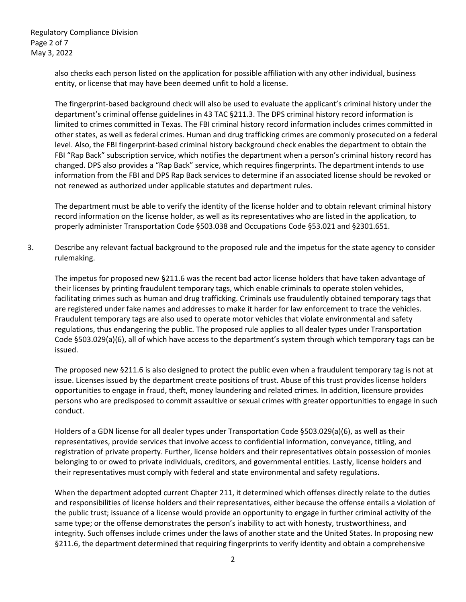Regulatory Compliance Division Page 2 of 7 May 3, 2022

> also checks each person listed on the application for possible affiliation with any other individual, business entity, or license that may have been deemed unfit to hold a license.

The fingerprint-based background check will also be used to evaluate the applicant's criminal history under the department's criminal offense guidelines in 43 TAC §211.3. The DPS criminal history record information is limited to crimes committed in Texas. The FBI criminal history record information includes crimes committed in other states, as well as federal crimes. Human and drug trafficking crimes are commonly prosecuted on a federal level. Also, the FBI fingerprint-based criminal history background check enables the department to obtain the FBI "Rap Back" subscription service, which notifies the department when a person's criminal history record has changed. DPS also provides a "Rap Back" service, which requires fingerprints. The department intends to use information from the FBI and DPS Rap Back services to determine if an associated license should be revoked or not renewed as authorized under applicable statutes and department rules.

The department must be able to verify the identity of the license holder and to obtain relevant criminal history record information on the license holder, as well as its representatives who are listed in the application, to properly administer Transportation Code §503.038 and Occupations Code §53.021 and §2301.651.

3. Describe any relevant factual background to the proposed rule and the impetus for the state agency to consider rulemaking.

The impetus for proposed new §211.6 was the recent bad actor license holders that have taken advantage of their licenses by printing fraudulent temporary tags, which enable criminals to operate stolen vehicles, facilitating crimes such as human and drug trafficking. Criminals use fraudulently obtained temporary tags that are registered under fake names and addresses to make it harder for law enforcement to trace the vehicles. Fraudulent temporary tags are also used to operate motor vehicles that violate environmental and safety regulations, thus endangering the public. The proposed rule applies to all dealer types under Transportation Code §503.029(a)(6), all of which have access to the department's system through which temporary tags can be issued.

The proposed new §211.6 is also designed to protect the public even when a fraudulent temporary tag is not at issue. Licenses issued by the department create positions of trust. Abuse of this trust provides license holders opportunities to engage in fraud, theft, money laundering and related crimes. In addition, licensure provides persons who are predisposed to commit assaultive or sexual crimes with greater opportunities to engage in such conduct.

Holders of a GDN license for all dealer types under Transportation Code §503.029(a)(6), as well as their representatives, provide services that involve access to confidential information, conveyance, titling, and registration of private property. Further, license holders and their representatives obtain possession of monies belonging to or owed to private individuals, creditors, and governmental entities. Lastly, license holders and their representatives must comply with federal and state environmental and safety regulations.

When the department adopted current Chapter 211, it determined which offenses directly relate to the duties and responsibilities of license holders and their representatives, either because the offense entails a violation of the public trust; issuance of a license would provide an opportunity to engage in further criminal activity of the same type; or the offense demonstrates the person's inability to act with honesty, trustworthiness, and integrity. Such offenses include crimes under the laws of another state and the United States. In proposing new §211.6, the department determined that requiring fingerprints to verify identity and obtain a comprehensive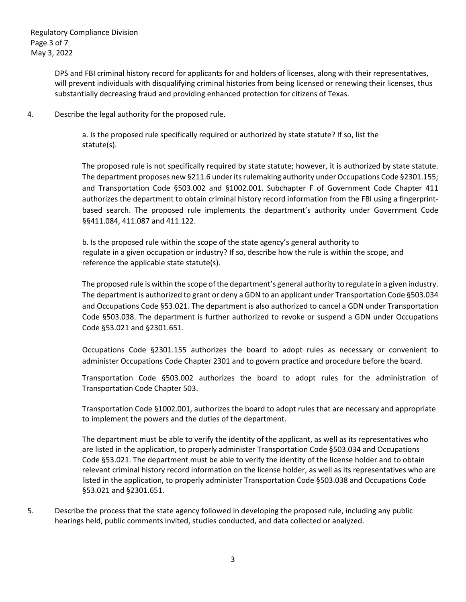DPS and FBI criminal history record for applicants for and holders of licenses, along with their representatives, will prevent individuals with disqualifying criminal histories from being licensed or renewing their licenses, thus substantially decreasing fraud and providing enhanced protection for citizens of Texas.

4. Describe the legal authority for the proposed rule.

a. Is the proposed rule specifically required or authorized by state statute? If so, list the statute(s).

The proposed rule is not specifically required by state statute; however, it is authorized by state statute. The department proposes new §211.6 under its rulemaking authority under Occupations Code §2301.155; and Transportation Code §503.002 and §1002.001. Subchapter F of Government Code Chapter 411 authorizes the department to obtain criminal history record information from the FBI using a fingerprintbased search. The proposed rule implements the department's authority under Government Code §§411.084, 411.087 and 411.122.

b. Is the proposed rule within the scope of the state agency's general authority to regulate in a given occupation or industry? If so, describe how the rule is within the scope, and reference the applicable state statute(s).

The proposed rule is within the scope of the department's general authority to regulate in a given industry. The department is authorized to grant or deny a GDN to an applicant under Transportation Code §503.034 and Occupations Code §53.021. The department is also authorized to cancel a GDN under Transportation Code §503.038. The department is further authorized to revoke or suspend a GDN under Occupations Code §53.021 and §2301.651.

Occupations Code §2301.155 authorizes the board to adopt rules as necessary or convenient to administer Occupations Code Chapter 2301 and to govern practice and procedure before the board.

Transportation Code §503.002 authorizes the board to adopt rules for the administration of Transportation Code Chapter 503.

Transportation Code §1002.001, authorizes the board to adopt rules that are necessary and appropriate to implement the powers and the duties of the department.

The department must be able to verify the identity of the applicant, as well as its representatives who are listed in the application, to properly administer Transportation Code §503.034 and Occupations Code §53.021. The department must be able to verify the identity of the license holder and to obtain relevant criminal history record information on the license holder, as well as its representatives who are listed in the application, to properly administer Transportation Code §503.038 and Occupations Code §53.021 and §2301.651.

5. Describe the process that the state agency followed in developing the proposed rule, including any public hearings held, public comments invited, studies conducted, and data collected or analyzed.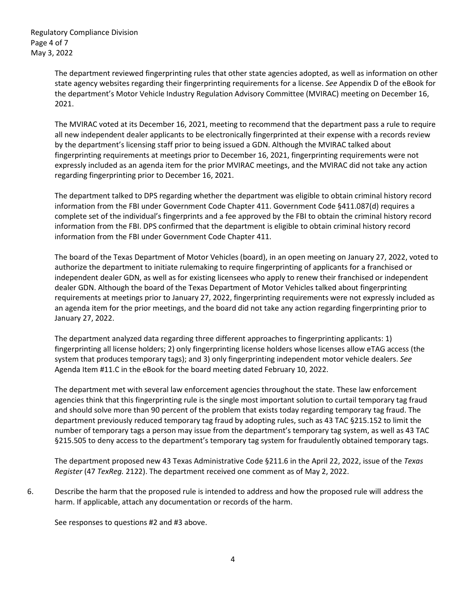Regulatory Compliance Division Page 4 of 7 May 3, 2022

> The department reviewed fingerprinting rules that other state agencies adopted, as well as information on other state agency websites regarding their fingerprinting requirements for a license. *See* Appendix D of the eBook for the department's Motor Vehicle Industry Regulation Advisory Committee (MVIRAC) meeting on December 16, 2021.

> The MVIRAC voted at its December 16, 2021, meeting to recommend that the department pass a rule to require all new independent dealer applicants to be electronically fingerprinted at their expense with a records review by the department's licensing staff prior to being issued a GDN. Although the MVIRAC talked about fingerprinting requirements at meetings prior to December 16, 2021, fingerprinting requirements were not expressly included as an agenda item for the prior MVIRAC meetings, and the MVIRAC did not take any action regarding fingerprinting prior to December 16, 2021.

> The department talked to DPS regarding whether the department was eligible to obtain criminal history record information from the FBI under Government Code Chapter 411. Government Code §411.087(d) requires a complete set of the individual's fingerprints and a fee approved by the FBI to obtain the criminal history record information from the FBI. DPS confirmed that the department is eligible to obtain criminal history record information from the FBI under Government Code Chapter 411.

The board of the Texas Department of Motor Vehicles (board), in an open meeting on January 27, 2022, voted to authorize the department to initiate rulemaking to require fingerprinting of applicants for a franchised or independent dealer GDN, as well as for existing licensees who apply to renew their franchised or independent dealer GDN. Although the board of the Texas Department of Motor Vehicles talked about fingerprinting requirements at meetings prior to January 27, 2022, fingerprinting requirements were not expressly included as an agenda item for the prior meetings, and the board did not take any action regarding fingerprinting prior to January 27, 2022.

The department analyzed data regarding three different approaches to fingerprinting applicants: 1) fingerprinting all license holders; 2) only fingerprinting license holders whose licenses allow eTAG access (the system that produces temporary tags); and 3) only fingerprinting independent motor vehicle dealers. *See* Agenda Item #11.C in the eBook for the board meeting dated February 10, 2022.

The department met with several law enforcement agencies throughout the state. These law enforcement agencies think that this fingerprinting rule is the single most important solution to curtail temporary tag fraud and should solve more than 90 percent of the problem that exists today regarding temporary tag fraud. The department previously reduced temporary tag fraud by adopting rules, such as 43 TAC §215.152 to limit the number of temporary tags a person may issue from the department's temporary tag system, as well as 43 TAC §215.505 to deny access to the department's temporary tag system for fraudulently obtained temporary tags.

The department proposed new 43 Texas Administrative Code §211.6 in the April 22, 2022, issue of the *Texas Register* (47 *TexReg.* 2122). The department received one comment as of May 2, 2022.

6. Describe the harm that the proposed rule is intended to address and how the proposed rule will address the harm. If applicable, attach any documentation or records of the harm.

See responses to questions #2 and #3 above.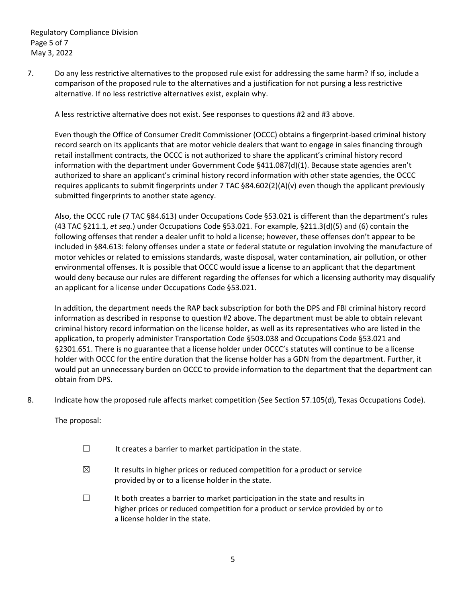Regulatory Compliance Division Page 5 of 7 May 3, 2022

7. Do any less restrictive alternatives to the proposed rule exist for addressing the same harm? If so, include a comparison of the proposed rule to the alternatives and a justification for not pursing a less restrictive alternative. If no less restrictive alternatives exist, explain why.

A less restrictive alternative does not exist. See responses to questions #2 and #3 above.

Even though the Office of Consumer Credit Commissioner (OCCC) obtains a fingerprint-based criminal history record search on its applicants that are motor vehicle dealers that want to engage in sales financing through retail installment contracts, the OCCC is not authorized to share the applicant's criminal history record information with the department under Government Code §411.087(d)(1). Because state agencies aren't authorized to share an applicant's criminal history record information with other state agencies, the OCCC requires applicants to submit fingerprints under 7 TAC §84.602(2)(A)(v) even though the applicant previously submitted fingerprints to another state agency.

Also, the OCCC rule (7 TAC §84.613) under Occupations Code §53.021 is different than the department's rules (43 TAC §211.1, *et seq.*) under Occupations Code §53.021. For example, §211.3(d)(5) and (6) contain the following offenses that render a dealer unfit to hold a license; however, these offenses don't appear to be included in §84.613: felony offenses under a state or federal statute or regulation involving the manufacture of motor vehicles or related to emissions standards, waste disposal, water contamination, air pollution, or other environmental offenses. It is possible that OCCC would issue a license to an applicant that the department would deny because our rules are different regarding the offenses for which a licensing authority may disqualify an applicant for a license under Occupations Code §53.021.

In addition, the department needs the RAP back subscription for both the DPS and FBI criminal history record information as described in response to question #2 above. The department must be able to obtain relevant criminal history record information on the license holder, as well as its representatives who are listed in the application, to properly administer Transportation Code §503.038 and Occupations Code §53.021 and §2301.651. There is no guarantee that a license holder under OCCC's statutes will continue to be a license holder with OCCC for the entire duration that the license holder has a GDN from the department. Further, it would put an unnecessary burden on OCCC to provide information to the department that the department can obtain from DPS.

8. Indicate how the proposed rule affects market competition (See Section 57.105(d), Texas Occupations Code).

The proposal:

- $\Box$  It creates a barrier to market participation in the state.
- $\boxtimes$  It results in higher prices or reduced competition for a product or service provided by or to a license holder in the state.
- ☐ It both creates a barrier to market participation in the state and results in higher prices or reduced competition for a product or service provided by or to a license holder in the state.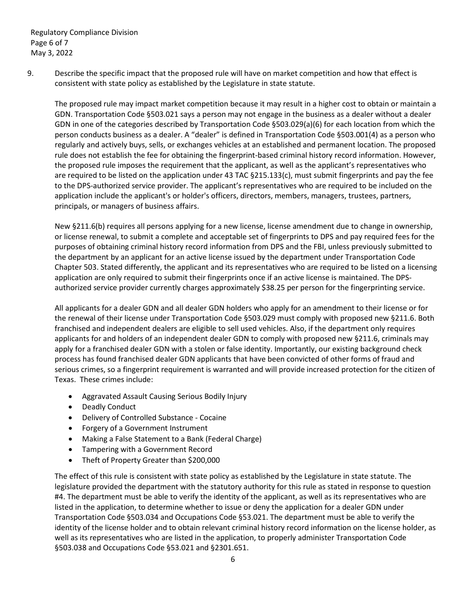Regulatory Compliance Division Page 6 of 7 May 3, 2022

9. Describe the specific impact that the proposed rule will have on market competition and how that effect is consistent with state policy as established by the Legislature in state statute.

The proposed rule may impact market competition because it may result in a higher cost to obtain or maintain a GDN. Transportation Code §503.021 says a person may not engage in the business as a dealer without a dealer GDN in one of the categories described by Transportation Code §503.029(a)(6) for each location from which the person conducts business as a dealer. A "dealer" is defined in Transportation Code §503.001(4) as a person who regularly and actively buys, sells, or exchanges vehicles at an established and permanent location. The proposed rule does not establish the fee for obtaining the fingerprint-based criminal history record information. However, the proposed rule imposes the requirement that the applicant, as well as the applicant's representatives who are required to be listed on the application under 43 TAC §215.133(c), must submit fingerprints and pay the fee to the DPS-authorized service provider. The applicant's representatives who are required to be included on the application include the applicant's or holder's officers, directors, members, managers, trustees, partners, principals, or managers of business affairs.

New §211.6(b) requires all persons applying for a new license, license amendment due to change in ownership, or license renewal, to submit a complete and acceptable set of fingerprints to DPS and pay required fees for the purposes of obtaining criminal history record information from DPS and the FBI, unless previously submitted to the department by an applicant for an active license issued by the department under Transportation Code Chapter 503. Stated differently, the applicant and its representatives who are required to be listed on a licensing application are only required to submit their fingerprints once if an active license is maintained. The DPSauthorized service provider currently charges approximately \$38.25 per person for the fingerprinting service.

All applicants for a dealer GDN and all dealer GDN holders who apply for an amendment to their license or for the renewal of their license under Transportation Code §503.029 must comply with proposed new §211.6. Both franchised and independent dealers are eligible to sell used vehicles. Also, if the department only requires applicants for and holders of an independent dealer GDN to comply with proposed new §211.6, criminals may apply for a franchised dealer GDN with a stolen or false identity. Importantly, our existing background check process has found franchised dealer GDN applicants that have been convicted of other forms of fraud and serious crimes, so a fingerprint requirement is warranted and will provide increased protection for the citizen of Texas. These crimes include:

- Aggravated Assault Causing Serious Bodily Injury
- Deadly Conduct
- Delivery of Controlled Substance Cocaine
- Forgery of a Government Instrument
- Making a False Statement to a Bank (Federal Charge)
- Tampering with a Government Record
- Theft of Property Greater than \$200,000

The effect of this rule is consistent with state policy as established by the Legislature in state statute. The legislature provided the department with the statutory authority for this rule as stated in response to question #4. The department must be able to verify the identity of the applicant, as well as its representatives who are listed in the application, to determine whether to issue or deny the application for a dealer GDN under Transportation Code §503.034 and Occupations Code §53.021. The department must be able to verify the identity of the license holder and to obtain relevant criminal history record information on the license holder, as well as its representatives who are listed in the application, to properly administer Transportation Code §503.038 and Occupations Code §53.021 and §2301.651.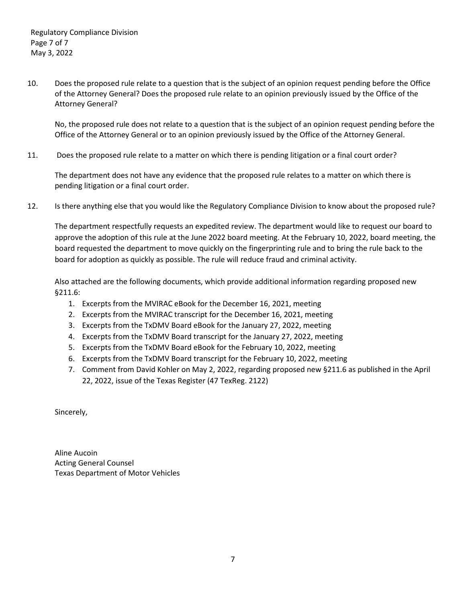10. Does the proposed rule relate to a question that is the subject of an opinion request pending before the Office of the Attorney General? Does the proposed rule relate to an opinion previously issued by the Office of the Attorney General?

No, the proposed rule does not relate to a question that is the subject of an opinion request pending before the Office of the Attorney General or to an opinion previously issued by the Office of the Attorney General.

11. Does the proposed rule relate to a matter on which there is pending litigation or a final court order?

The department does not have any evidence that the proposed rule relates to a matter on which there is pending litigation or a final court order.

12. Is there anything else that you would like the Regulatory Compliance Division to know about the proposed rule?

The department respectfully requests an expedited review. The department would like to request our board to approve the adoption of this rule at the June 2022 board meeting. At the February 10, 2022, board meeting, the board requested the department to move quickly on the fingerprinting rule and to bring the rule back to the board for adoption as quickly as possible. The rule will reduce fraud and criminal activity.

Also attached are the following documents, which provide additional information regarding proposed new §211.6:

- 1. Excerpts from the MVIRAC eBook for the December 16, 2021, meeting
- 2. Excerpts from the MVIRAC transcript for the December 16, 2021, meeting
- 3. Excerpts from the TxDMV Board eBook for the January 27, 2022, meeting
- 4. Excerpts from the TxDMV Board transcript for the January 27, 2022, meeting
- 5. Excerpts from the TxDMV Board eBook for the February 10, 2022, meeting
- 6. Excerpts from the TxDMV Board transcript for the February 10, 2022, meeting
- 7. Comment from David Kohler on May 2, 2022, regarding proposed new §211.6 as published in the April 22, 2022, issue of the Texas Register (47 TexReg. 2122)

Sincerely,

Aline Aucoin Acting General Counsel Texas Department of Motor Vehicles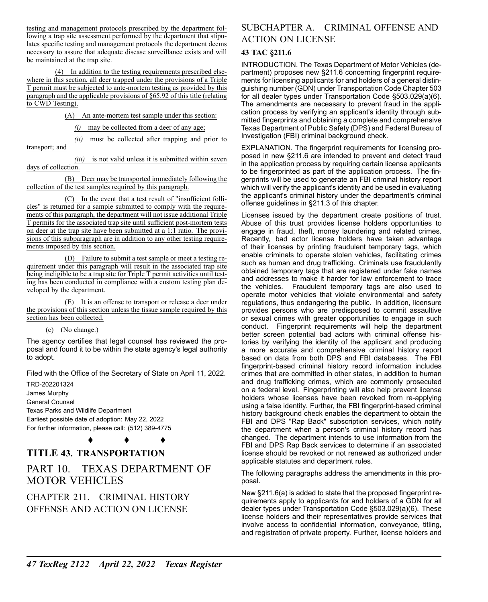testing and management protocols prescribed by the department following a trap site assessment performed by the department that stipulates specific testing and management protocols the department deems necessary to assure that adequate disease surveillance exists and will be maintained at the trap site.

(4) In addition to the testing requirements prescribed elsewhere in this section, all deer trapped under the provisions of a Triple T permit must be subjected to ante-mortem testing as provided by this paragraph and the applicable provisions of §65.92 of this title (relating to CWD Testing).

(A) An ante-mortem test sample under this section:

*(i)* may be collected from a deer of any age;

*(ii)* must be collected after trapping and prior to transport; and

*(iii)* is not valid unless it is submitted within seven days of collection.

(B) Deer may be transported immediately following the collection of the test samples required by this paragraph.

(C) In the event that a test result of "insufficient follicles" is returned for a sample submitted to comply with the requirements of this paragraph, the department will not issue additional Triple T permits for the associated trap site until sufficient post-mortem tests on deer at the trap site have been submitted at a 1:1 ratio. The provisions of this subparagraph are in addition to any other testing requirements imposed by this section.

(D) Failure to submit a test sample or meet a testing requirement under this paragraph will result in the associated trap site being ineligible to be a trap site for Triple T permit activities until testing has been conducted in compliance with a custom testing plan developed by the department.

(E) It is an offense to transport or release a deer under the provisions of this section unless the tissue sample required by this section has been collected.

(c) (No change.)

The agency certifies that legal counsel has reviewed the proposal and found it to be within the state agency's legal authority to adopt.

Filed with the Office of the Secretary of State on April 11, 2022.

TRD-202201324 James Murphy General Counsel Texas Parks and Wildlife Department Earliest possible date of adoption: May 22, 2022 For further information, please call: (512) 389-4775

♦ ♦ ♦

### **TITLE 43. TRANSPORTATION**

## PART 10. TEXAS DEPARTMENT OF MOTOR VEHICLES

CHAPTER 211. CRIMINAL HISTORY OFFENSE AND ACTION ON LICENSE

#### SUBCHAPTER A. CRIMINAL OFFENSE AND ACTION ON LICENSE

#### **43 TAC §211.6**

INTRODUCTION. The Texas Department of Motor Vehicles (department) proposes new §211.6 concerning fingerprint requirements for licensing applicants for and holders of a general distinguishing number (GDN) under Transportation Code Chapter 503 for all dealer types under Transportation Code §503.029(a)(6). The amendments are necessary to prevent fraud in the application process by verifying an applicant's identity through submitted fingerprints and obtaining a complete and comprehensive Texas Department of Public Safety (DPS) and Federal Bureau of Investigation (FBI) criminal background check.

EXPLANATION. The fingerprint requirements for licensing proposed in new §211.6 are intended to prevent and detect fraud in the application process by requiring certain license applicants to be fingerprinted as part of the application process. The fingerprints will be used to generate an FBI criminal history report which will verify the applicant's identity and be used in evaluating the applicant's criminal history under the department's criminal offense guidelines in §211.3 of this chapter.

Licenses issued by the department create positions of trust. Abuse of this trust provides license holders opportunities to engage in fraud, theft, money laundering and related crimes. Recently, bad actor license holders have taken advantage of their licenses by printing fraudulent temporary tags, which enable criminals to operate stolen vehicles, facilitating crimes such as human and drug trafficking. Criminals use fraudulently obtained temporary tags that are registered under fake names and addresses to make it harder for law enforcement to trace the vehicles. Fraudulent temporary tags are also used to operate motor vehicles that violate environmental and safety regulations, thus endangering the public. In addition, licensure provides persons who are predisposed to commit assaultive or sexual crimes with greater opportunities to engage in such conduct. Fingerprint requirements will help the department better screen potential bad actors with criminal offense histories by verifying the identity of the applicant and producing a more accurate and comprehensive criminal history report based on data from both DPS and FBI databases. The FBI fingerprint-based criminal history record information includes crimes that are committed in other states, in addition to human and drug trafficking crimes, which are commonly prosecuted on a federal level. Fingerprinting will also help prevent license holders whose licenses have been revoked from re-applying using a false identity. Further, the FBI fingerprint-based criminal history background check enables the department to obtain the FBI and DPS "Rap Back" subscription services, which notify the department when a person's criminal history record has changed. The department intends to use information from the FBI and DPS Rap Back services to determine if an associated license should be revoked or not renewed as authorized under applicable statutes and department rules.

The following paragraphs address the amendments in this proposal.

New §211.6(a) is added to state that the proposed fingerprint requirements apply to applicants for and holders of a GDN for all dealer types under Transportation Code §503.029(a)(6). These license holders and their representatives provide services that involve access to confidential information, conveyance, titling, and registration of private property. Further, license holders and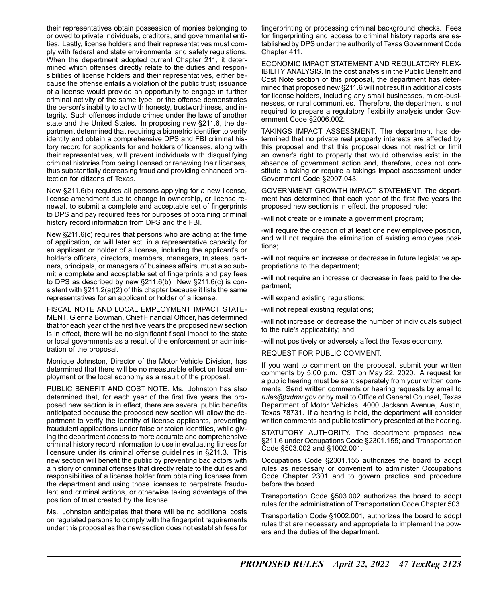their representatives obtain possession of monies belonging to or owed to private individuals, creditors, and governmental entities. Lastly, license holders and their representatives must comply with federal and state environmental and safety regulations. When the department adopted current Chapter 211, it determined which offenses directly relate to the duties and responsibilities of license holders and their representatives, either because the offense entails a violation of the public trust; issuance of a license would provide an opportunity to engage in further criminal activity of the same type; or the offense demonstrates the person's inability to act with honesty, trustworthiness, and integrity. Such offenses include crimes under the laws of another state and the United States. In proposing new §211.6, the department determined that requiring a biometric identifier to verify identity and obtain a comprehensive DPS and FBI criminal history record for applicants for and holders of licenses, along with their representatives, will prevent individuals with disqualifying criminal histories from being licensed or renewing their licenses, thus substantially decreasing fraud and providing enhanced protection for citizens of Texas.

New §211.6(b) requires all persons applying for a new license, license amendment due to change in ownership, or license renewal, to submit a complete and acceptable set of fingerprints to DPS and pay required fees for purposes of obtaining criminal history record information from DPS and the FBI.

New §211.6(c) requires that persons who are acting at the time of application, or will later act, in a representative capacity for an applicant or holder of a license, including the applicant's or holder's officers, directors, members, managers, trustees, partners, principals, or managers of business affairs, must also submit a complete and acceptable set of fingerprints and pay fees to DPS as described by new §211.6(b). New §211.6(c) is consistent with §211.2(a)(2) of this chapter because it lists the same representatives for an applicant or holder of a license.

FISCAL NOTE AND LOCAL EMPLOYMENT IMPACT STATE-MENT. Glenna Bowman, Chief Financial Officer, has determined that for each year of the first five years the proposed new section is in effect, there will be no significant fiscal impact to the state or local governments as a result of the enforcement or administration of the proposal.

Monique Johnston, Director of the Motor Vehicle Division, has determined that there will be no measurable effect on local employment or the local economy as a result of the proposal.

PUBLIC BENEFIT AND COST NOTE. Ms. Johnston has also determined that, for each year of the first five years the proposed new section is in effect, there are several public benefits anticipated because the proposed new section will allow the department to verify the identity of license applicants, preventing fraudulent applications under false or stolen identities, while giving the department access to more accurate and comprehensive criminal history record information to use in evaluating fitness for licensure under its criminal offense guidelines in §211.3. This new section will benefit the public by preventing bad actors with a history of criminal offenses that directly relate to the duties and responsibilities of a license holder from obtaining licenses from the department and using those licenses to perpetrate fraudulent and criminal actions, or otherwise taking advantage of the position of trust created by the license.

Ms. Johnston anticipates that there will be no additional costs on regulated persons to comply with the fingerprint requirements under this proposal as the new section does not establish fees for fingerprinting or processing criminal background checks. Fees for fingerprinting and access to criminal history reports are established by DPS under the authority of Texas Government Code Chapter 411.

ECONOMIC IMPACT STATEMENT AND REGULATORY FLEX-IBILITY ANALYSIS. In the cost analysis in the Public Benefit and Cost Note section of this proposal, the department has determined that proposed new §211.6 will not result in additional costs for license holders, including any small businesses, micro-businesses, or rural communities. Therefore, the department is not required to prepare a regulatory flexibility analysis under Government Code §2006.002.

TAKINGS IMPACT ASSESSMENT. The department has determined that no private real property interests are affected by this proposal and that this proposal does not restrict or limit an owner's right to property that would otherwise exist in the absence of government action and, therefore, does not constitute a taking or require a takings impact assessment under Government Code §2007.043.

GOVERNMENT GROWTH IMPACT STATEMENT. The department has determined that each year of the first five years the proposed new section is in effect, the proposed rule:

-will not create or eliminate a government program;

-will require the creation of at least one new employee position, and will not require the elimination of existing employee positions;

-will not require an increase or decrease in future legislative appropriations to the department;

-will not require an increase or decrease in fees paid to the department;

-will expand existing regulations;

-will not repeal existing regulations;

-will not increase or decrease the number of individuals subject to the rule's applicability; and

-will not positively or adversely affect the Texas economy.

REQUEST FOR PUBLIC COMMENT.

If you want to comment on the proposal, submit your written comments by 5:00 p.m. CST on May 22, 2020. A request for a public hearing must be sent separately from your written comments. Send written comments or hearing requests by email to *[rules@txdmv.gov](mailto:rules@txdmv.gov)* or by mail to Office of General Counsel, Texas Department of Motor Vehicles, 4000 Jackson Avenue, Austin, Texas 78731. If a hearing is held, the department will consider written comments and public testimony presented at the hearing.

STATUTORY AUTHORITY. The department proposes new §211.6 under Occupations Code §2301.155; and Transportation Code §503.002 and §1002.001.

Occupations Code §2301.155 authorizes the board to adopt rules as necessary or convenient to administer Occupations Code Chapter 2301 and to govern practice and procedure before the board.

Transportation Code §503.002 authorizes the board to adopt rules for the administration of Transportation Code Chapter 503.

Transportation Code §1002.001, authorizes the board to adopt rules that are necessary and appropriate to implement the powers and the duties of the department.